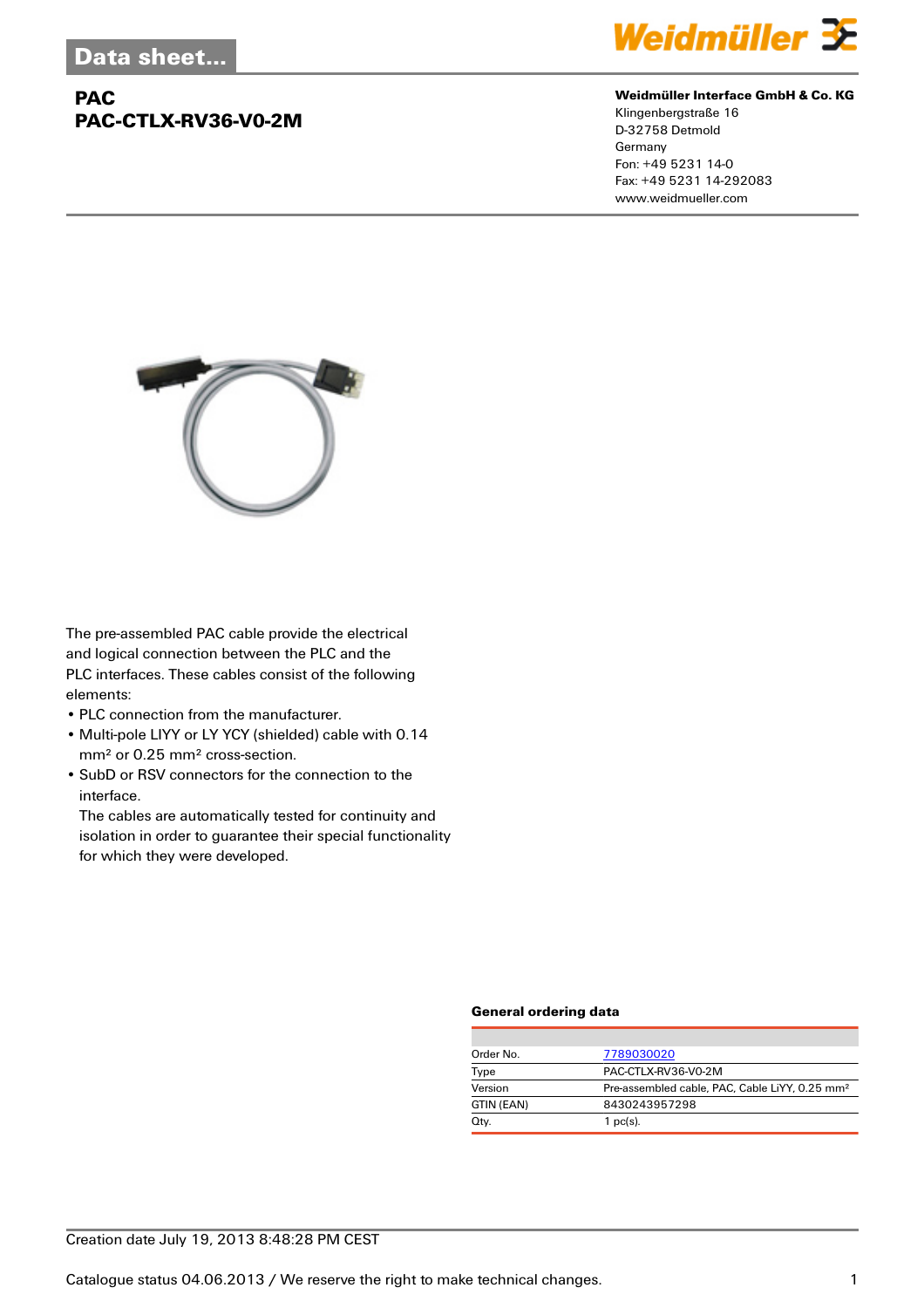# **PAC PAC-CTLX-RV36-V0-2M**



#### **Weidmüller Interface GmbH & Co. KG**

Klingenbergstraße 16 D-32758 Detmold Germany Fon: +49 5231 14-0 Fax: +49 5231 14-292083 www.weidmueller.com



The pre-assembled PAC cable provide the electrical and logical connection between the PLC and the PLC interfaces. These cables consist of the following elements:

- PLC connection from the manufacturer.
- Multi-pole LIYY or LY YCY (shielded) cable with 0.14 mm² or 0.25 mm² cross-section.
- SubD or RSV connectors for the connection to the interface.

The cables are automatically tested for continuity and isolation in order to guarantee their special functionality for which they were developed.

### **General ordering data**

| Order No.  | 7789030020                                                 |
|------------|------------------------------------------------------------|
| Type       | PAC-CTLX-RV36-V0-2M                                        |
| Version    | Pre-assembled cable, PAC, Cable LiYY, 0.25 mm <sup>2</sup> |
| GTIN (EAN) | 8430243957298                                              |
| Qty.       | $1$ pc(s).                                                 |